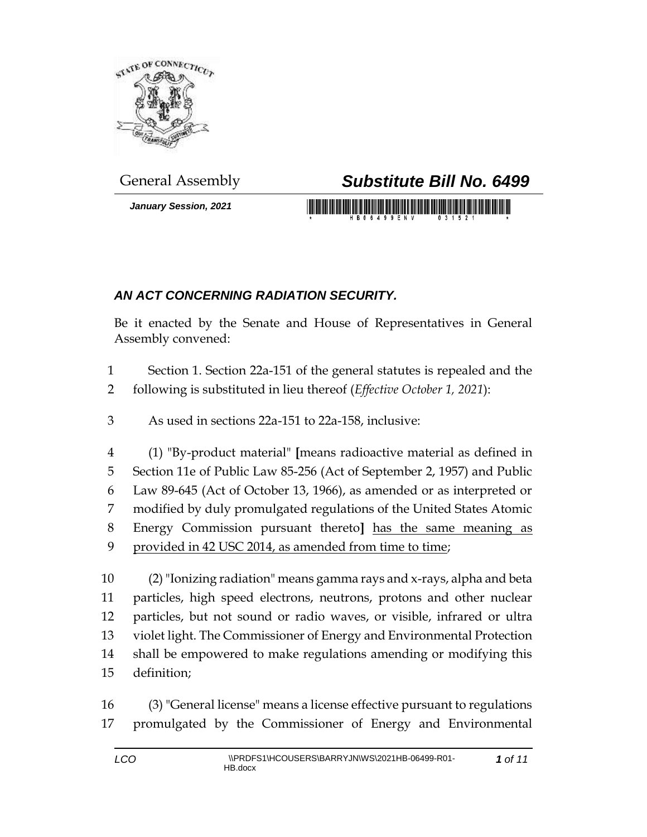

*January Session, 2021*

## General Assembly *Substitute Bill No. 6499*

<u> 1989 - Johann Maria Maria Maria Maria Maria Maria Maria Maria Maria Maria Maria Maria Maria Maria Maria Mari</u>

## *AN ACT CONCERNING RADIATION SECURITY.*

Be it enacted by the Senate and House of Representatives in General Assembly convened:

- Section 1. Section 22a-151 of the general statutes is repealed and the following is substituted in lieu thereof (*Effective October 1, 2021*):
- As used in sections 22a-151 to 22a-158, inclusive:

 (1) "By-product material" **[**means radioactive material as defined in Section 11e of Public Law 85-256 (Act of September 2, 1957) and Public Law 89-645 (Act of October 13, 1966), as amended or as interpreted or modified by duly promulgated regulations of the United States Atomic Energy Commission pursuant thereto**]** has the same meaning as provided in 42 USC 2014, as amended from time to time;

 (2)"Ionizing radiation" means gamma rays and x-rays, alpha and beta particles, high speed electrons, neutrons, protons and other nuclear particles, but not sound or radio waves, or visible, infrared or ultra violet light. The Commissioner of Energy and Environmental Protection shall be empowered to make regulations amending or modifying this definition;

 (3) "General license" means a license effective pursuant to regulations promulgated by the Commissioner of Energy and Environmental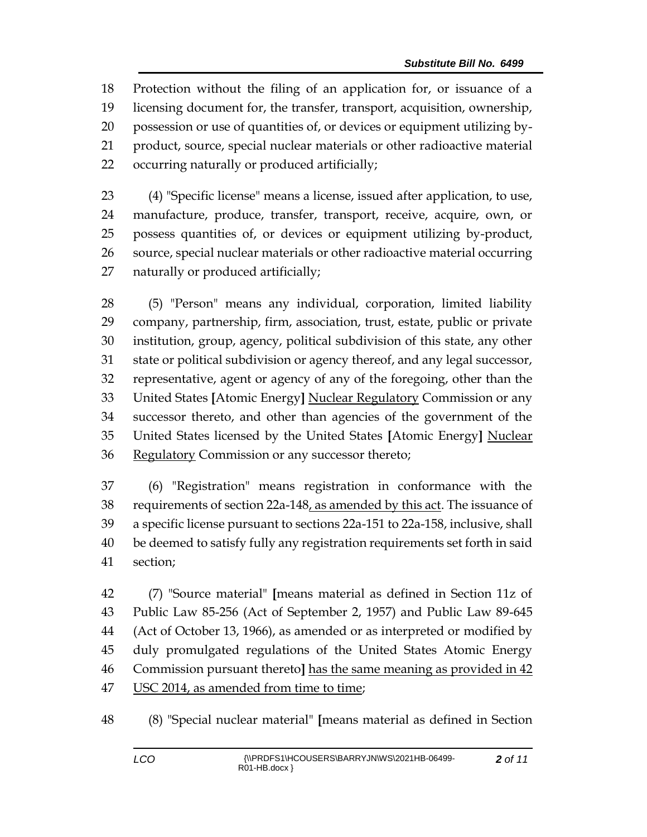Protection without the filing of an application for, or issuance of a licensing document for, the transfer, transport, acquisition, ownership, possession or use of quantities of, or devices or equipment utilizing by- product, source, special nuclear materials or other radioactive material occurring naturally or produced artificially;

 (4) "Specific license" means a license, issued after application, to use, manufacture, produce, transfer, transport, receive, acquire, own, or possess quantities of, or devices or equipment utilizing by-product, source, special nuclear materials or other radioactive material occurring naturally or produced artificially;

 (5) "Person" means any individual, corporation, limited liability company, partnership, firm, association, trust, estate, public or private institution, group, agency, political subdivision of this state, any other state or political subdivision or agency thereof, and any legal successor, representative, agent or agency of any of the foregoing, other than the United States **[**Atomic Energy**]** Nuclear Regulatory Commission or any successor thereto, and other than agencies of the government of the United States licensed by the United States **[**Atomic Energy**]** Nuclear Regulatory Commission or any successor thereto;

 (6) "Registration" means registration in conformance with the 38 requirements of section 22a-148, as amended by this act. The issuance of a specific license pursuant to sections 22a-151 to 22a-158, inclusive, shall be deemed to satisfy fully any registration requirements set forth in said section;

 (7) "Source material" **[**means material as defined in Section 11z of Public Law 85-256 (Act of September 2, 1957) and Public Law 89-645 (Act of October 13, 1966), as amended or as interpreted or modified by duly promulgated regulations of the United States Atomic Energy Commission pursuant thereto**]** has the same meaning as provided in 42 USC 2014, as amended from time to time;

(8) "Special nuclear material" **[**means material as defined in Section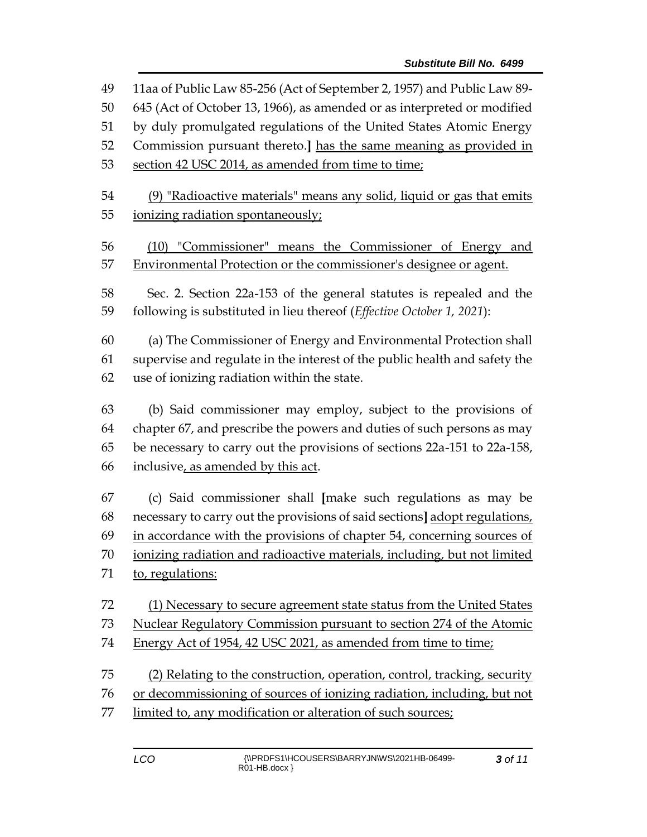11aa of Public Law 85-256 (Act of September 2, 1957) and Public Law 89- 645 (Act of October 13, 1966), as amended or as interpreted or modified by duly promulgated regulations of the United States Atomic Energy Commission pursuant thereto.**]** has the same meaning as provided in 53 section 42 USC 2014, as amended from time to time; (9) "Radioactive materials" means any solid, liquid or gas that emits ionizing radiation spontaneously; (10) "Commissioner" means the Commissioner of Energy and Environmental Protection or the commissioner's designee or agent. Sec. 2. Section 22a-153 of the general statutes is repealed and the following is substituted in lieu thereof (*Effective October 1, 2021*): (a) The Commissioner of Energy and Environmental Protection shall supervise and regulate in the interest of the public health and safety the use of ionizing radiation within the state. (b) Said commissioner may employ, subject to the provisions of chapter 67, and prescribe the powers and duties of such persons as may be necessary to carry out the provisions of sections 22a-151 to 22a-158, inclusive, as amended by this act. (c) Said commissioner shall **[**make such regulations as may be necessary to carry out the provisions of said sections**]** adopt regulations, in accordance with the provisions of chapter 54, concerning sources of ionizing radiation and radioactive materials, including, but not limited to, regulations: (1) Necessary to secure agreement state status from the United States Nuclear Regulatory Commission pursuant to section 274 of the Atomic 74 Energy Act of 1954, 42 USC 2021, as amended from time to time; (2) Relating to the construction, operation, control, tracking, security or decommissioning of sources of ionizing radiation, including, but not limited to, any modification or alteration of such sources;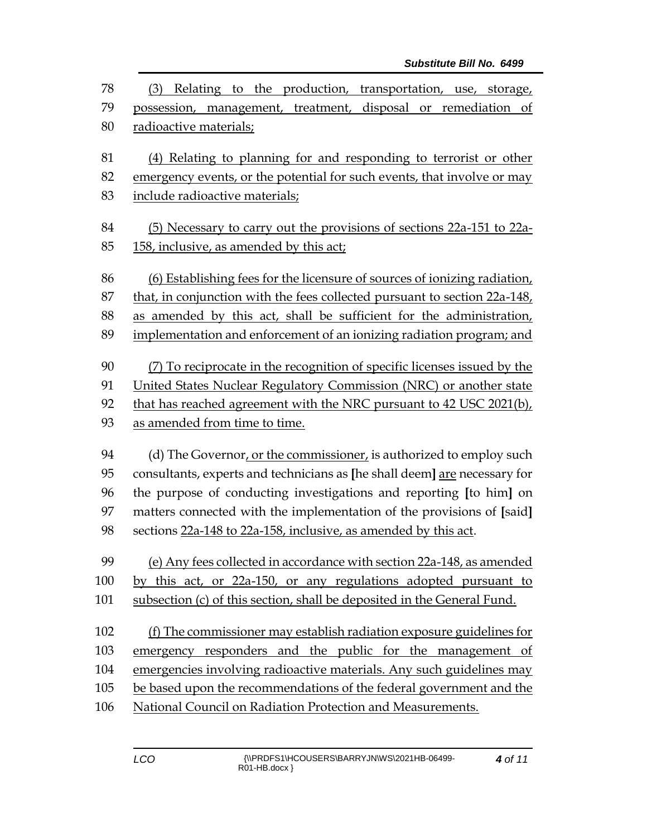| 78  | (3) Relating to the production, transportation, use, storage,             |  |  |
|-----|---------------------------------------------------------------------------|--|--|
| 79  | possession, management, treatment, disposal or remediation of             |  |  |
| 80  | radioactive materials;                                                    |  |  |
| 81  | (4) Relating to planning for and responding to terrorist or other         |  |  |
| 82  | emergency events, or the potential for such events, that involve or may   |  |  |
| 83  | include radioactive materials;                                            |  |  |
| 84  | (5) Necessary to carry out the provisions of sections 22a-151 to 22a-     |  |  |
| 85  | 158, inclusive, as amended by this act;                                   |  |  |
| 86  | (6) Establishing fees for the licensure of sources of ionizing radiation, |  |  |
| 87  | that, in conjunction with the fees collected pursuant to section 22a-148, |  |  |
| 88  | as amended by this act, shall be sufficient for the administration,       |  |  |
| 89  | implementation and enforcement of an ionizing radiation program; and      |  |  |
| 90  | (7) To reciprocate in the recognition of specific licenses issued by the  |  |  |
| 91  | United States Nuclear Regulatory Commission (NRC) or another state        |  |  |
| 92  | that has reached agreement with the NRC pursuant to 42 USC 2021(b),       |  |  |
| 93  | as amended from time to time.                                             |  |  |
| 94  | (d) The Governor, or the commissioner, is authorized to employ such       |  |  |
| 95  | consultants, experts and technicians as [he shall deem] are necessary for |  |  |
| 96  | the purpose of conducting investigations and reporting [to him] on        |  |  |
| 97  | matters connected with the implementation of the provisions of [said]     |  |  |
| 98  | sections 22a-148 to 22a-158, inclusive, as amended by this act.           |  |  |
| 99  | (e) Any fees collected in accordance with section 22a-148, as amended     |  |  |
| 100 | by this act, or 22a-150, or any regulations adopted pursuant to           |  |  |
| 101 | subsection (c) of this section, shall be deposited in the General Fund.   |  |  |
| 102 | (f) The commissioner may establish radiation exposure guidelines for      |  |  |
| 103 | emergency responders and the public for the management of                 |  |  |
| 104 | emergencies involving radioactive materials. Any such guidelines may      |  |  |
| 105 | be based upon the recommendations of the federal government and the       |  |  |
| 106 | National Council on Radiation Protection and Measurements.                |  |  |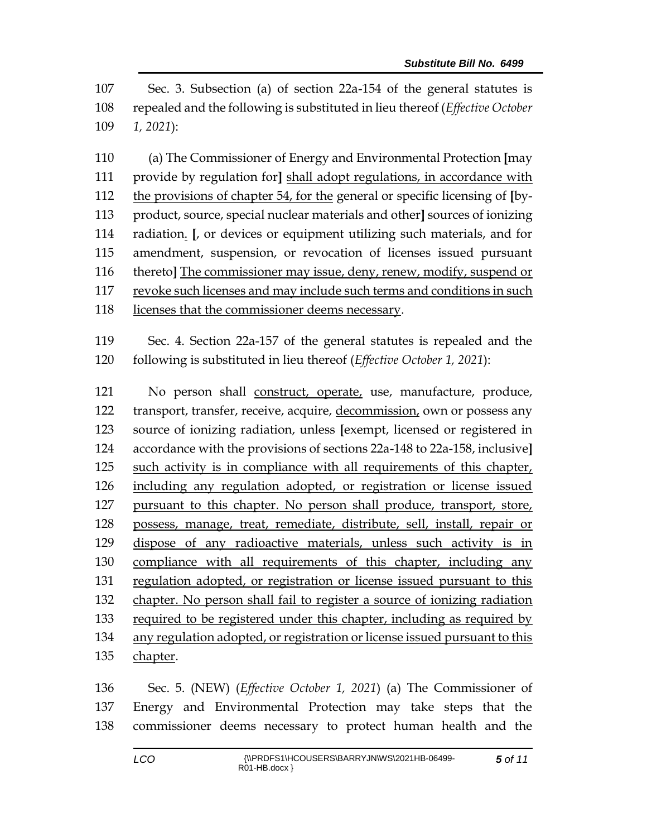Sec. 3. Subsection (a) of section 22a-154 of the general statutes is repealed and the following is substituted in lieu thereof (*Effective October 1, 2021*):

 (a) The Commissioner of Energy and Environmental Protection **[**may provide by regulation for**]** shall adopt regulations, in accordance with the provisions of chapter 54, for the general or specific licensing of **[**by- product, source, special nuclear materials and other**]** sources of ionizing radiation. **[**, or devices or equipment utilizing such materials, and for amendment, suspension, or revocation of licenses issued pursuant thereto**]** The commissioner may issue, deny, renew, modify, suspend or revoke such licenses and may include such terms and conditions in such licenses that the commissioner deems necessary.

 Sec. 4. Section 22a-157 of the general statutes is repealed and the following is substituted in lieu thereof (*Effective October 1, 2021*):

 No person shall construct, operate, use, manufacture, produce, transport, transfer, receive, acquire, decommission, own or possess any source of ionizing radiation, unless **[**exempt, licensed or registered in accordance with the provisions of sections 22a-148 to 22a-158, inclusive**]** such activity is in compliance with all requirements of this chapter, including any regulation adopted, or registration or license issued pursuant to this chapter. No person shall produce, transport, store, possess, manage, treat, remediate, distribute, sell, install, repair or dispose of any radioactive materials, unless such activity is in compliance with all requirements of this chapter, including any regulation adopted, or registration or license issued pursuant to this chapter. No person shall fail to register a source of ionizing radiation required to be registered under this chapter, including as required by 134 any regulation adopted, or registration or license issued pursuant to this 135 chapter.

 Sec. 5. (NEW) (*Effective October 1, 2021*) (a) The Commissioner of Energy and Environmental Protection may take steps that the commissioner deems necessary to protect human health and the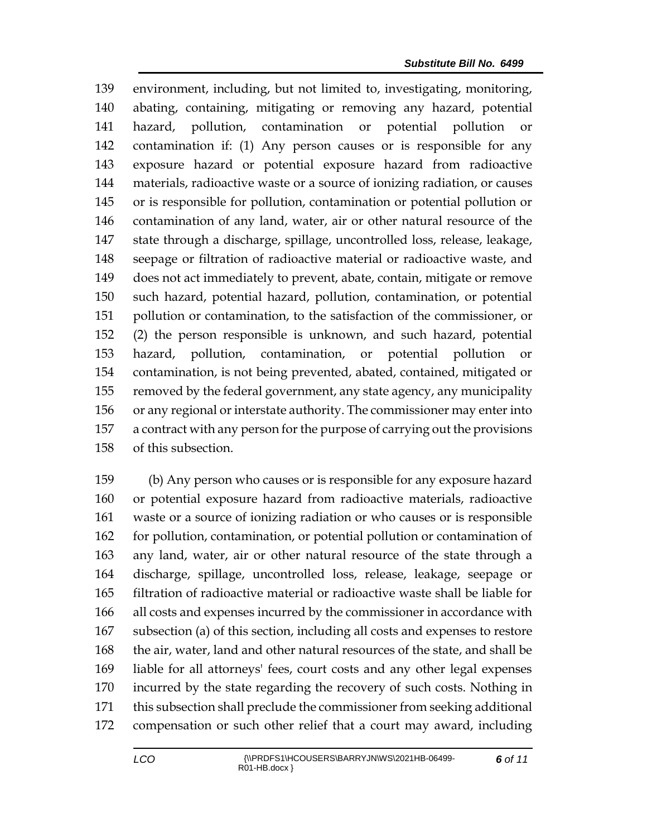environment, including, but not limited to, investigating, monitoring, abating, containing, mitigating or removing any hazard, potential hazard, pollution, contamination or potential pollution or contamination if: (1) Any person causes or is responsible for any exposure hazard or potential exposure hazard from radioactive materials, radioactive waste or a source of ionizing radiation, or causes or is responsible for pollution, contamination or potential pollution or contamination of any land, water, air or other natural resource of the state through a discharge, spillage, uncontrolled loss, release, leakage, seepage or filtration of radioactive material or radioactive waste, and does not act immediately to prevent, abate, contain, mitigate or remove such hazard, potential hazard, pollution, contamination, or potential pollution or contamination, to the satisfaction of the commissioner, or (2) the person responsible is unknown, and such hazard, potential hazard, pollution, contamination, or potential pollution or contamination, is not being prevented, abated, contained, mitigated or removed by the federal government, any state agency, any municipality or any regional or interstate authority. The commissioner may enter into a contract with any person for the purpose of carrying out the provisions of this subsection.

 (b) Any person who causes or is responsible for any exposure hazard or potential exposure hazard from radioactive materials, radioactive waste or a source of ionizing radiation or who causes or is responsible for pollution, contamination, or potential pollution or contamination of any land, water, air or other natural resource of the state through a discharge, spillage, uncontrolled loss, release, leakage, seepage or filtration of radioactive material or radioactive waste shall be liable for all costs and expenses incurred by the commissioner in accordance with subsection (a) of this section, including all costs and expenses to restore the air, water, land and other natural resources of the state, and shall be liable for all attorneys' fees, court costs and any other legal expenses incurred by the state regarding the recovery of such costs. Nothing in this subsection shall preclude the commissioner from seeking additional compensation or such other relief that a court may award, including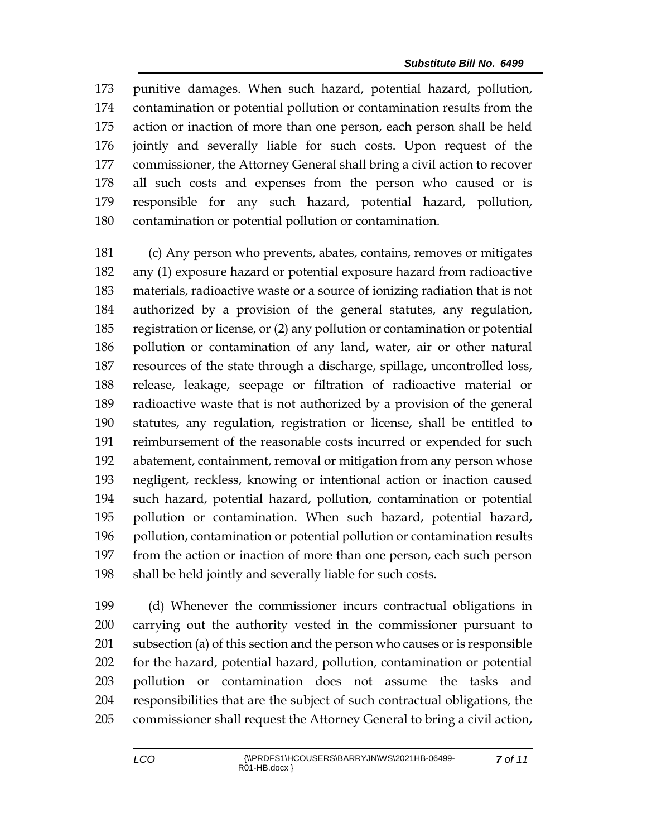punitive damages. When such hazard, potential hazard, pollution, contamination or potential pollution or contamination results from the action or inaction of more than one person, each person shall be held jointly and severally liable for such costs. Upon request of the commissioner, the Attorney General shall bring a civil action to recover all such costs and expenses from the person who caused or is responsible for any such hazard, potential hazard, pollution, contamination or potential pollution or contamination.

 (c) Any person who prevents, abates, contains, removes or mitigates any (1) exposure hazard or potential exposure hazard from radioactive materials, radioactive waste or a source of ionizing radiation that is not authorized by a provision of the general statutes, any regulation, registration or license, or (2) any pollution or contamination or potential pollution or contamination of any land, water, air or other natural resources of the state through a discharge, spillage, uncontrolled loss, release, leakage, seepage or filtration of radioactive material or radioactive waste that is not authorized by a provision of the general statutes, any regulation, registration or license, shall be entitled to reimbursement of the reasonable costs incurred or expended for such abatement, containment, removal or mitigation from any person whose negligent, reckless, knowing or intentional action or inaction caused such hazard, potential hazard, pollution, contamination or potential pollution or contamination. When such hazard, potential hazard, pollution, contamination or potential pollution or contamination results from the action or inaction of more than one person, each such person shall be held jointly and severally liable for such costs.

 (d) Whenever the commissioner incurs contractual obligations in carrying out the authority vested in the commissioner pursuant to subsection (a) of this section and the person who causes or is responsible for the hazard, potential hazard, pollution, contamination or potential pollution or contamination does not assume the tasks and responsibilities that are the subject of such contractual obligations, the commissioner shall request the Attorney General to bring a civil action,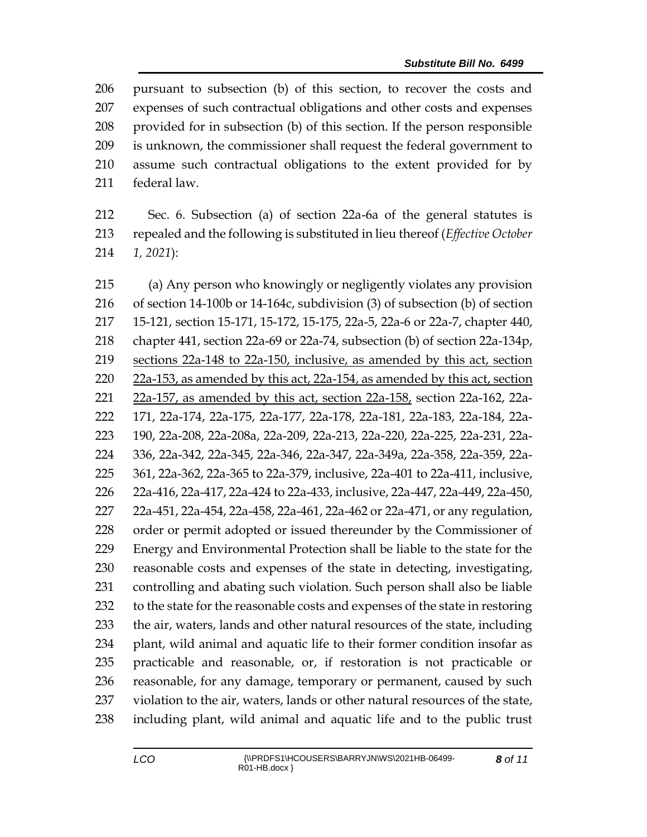pursuant to subsection (b) of this section, to recover the costs and expenses of such contractual obligations and other costs and expenses provided for in subsection (b) of this section. If the person responsible is unknown, the commissioner shall request the federal government to assume such contractual obligations to the extent provided for by federal law.

 Sec. 6. Subsection (a) of section 22a-6a of the general statutes is repealed and the following is substituted in lieu thereof (*Effective October 1, 2021*):

 (a) Any person who knowingly or negligently violates any provision of section 14-100b or 14-164c, subdivision (3) of subsection (b) of section 15-121, section 15-171, 15-172, 15-175, 22a-5, 22a-6 or 22a-7, chapter 440, chapter 441, section 22a-69 or 22a-74, subsection (b) of section 22a-134p, sections 22a-148 to 22a-150, inclusive, as amended by this act, section 22a-153, as amended by this act, 22a-154, as amended by this act, section 22a-157, as amended by this act, section 22a-158, section 22a-162, 22a- 171, 22a-174, 22a-175, 22a-177, 22a-178, 22a-181, 22a-183, 22a-184, 22a- 190, 22a-208, 22a-208a, 22a-209, 22a-213, 22a-220, 22a-225, 22a-231, 22a- 336, 22a-342, 22a-345, 22a-346, 22a-347, 22a-349a, 22a-358, 22a-359, 22a- 361, 22a-362, 22a-365 to 22a-379, inclusive, 22a-401 to 22a-411, inclusive, 22a-416, 22a-417, 22a-424 to 22a-433, inclusive, 22a-447, 22a-449, 22a-450, 22a-451, 22a-454, 22a-458, 22a-461, 22a-462 or 22a-471, or any regulation, order or permit adopted or issued thereunder by the Commissioner of Energy and Environmental Protection shall be liable to the state for the reasonable costs and expenses of the state in detecting, investigating, controlling and abating such violation. Such person shall also be liable to the state for the reasonable costs and expenses of the state in restoring the air, waters, lands and other natural resources of the state, including plant, wild animal and aquatic life to their former condition insofar as practicable and reasonable, or, if restoration is not practicable or reasonable, for any damage, temporary or permanent, caused by such violation to the air, waters, lands or other natural resources of the state, including plant, wild animal and aquatic life and to the public trust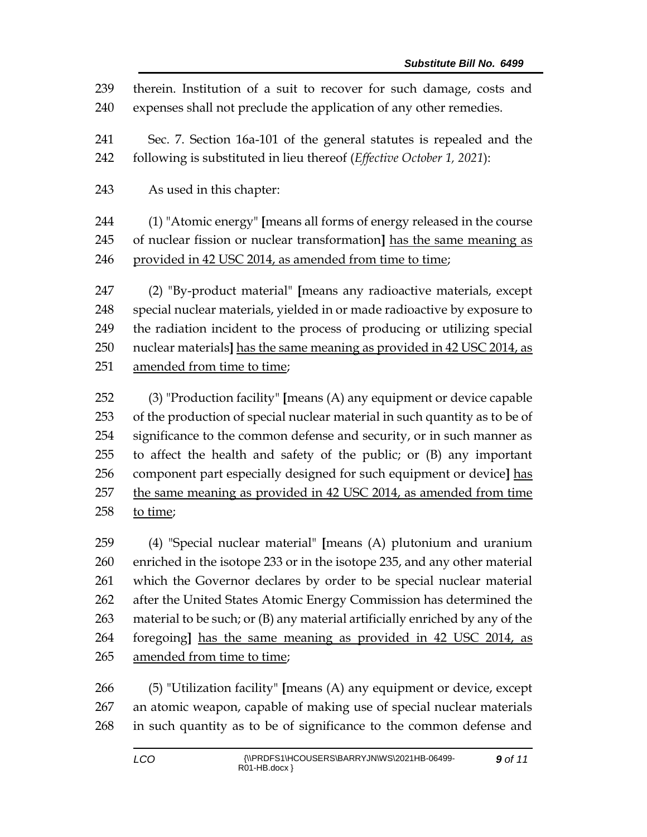therein. Institution of a suit to recover for such damage, costs and expenses shall not preclude the application of any other remedies.

 Sec. 7. Section 16a-101 of the general statutes is repealed and the following is substituted in lieu thereof (*Effective October 1, 2021*):

As used in this chapter:

 (1) "Atomic energy" **[**means all forms of energy released in the course of nuclear fission or nuclear transformation**]** has the same meaning as provided in 42 USC 2014, as amended from time to time;

 (2) "By-product material" **[**means any radioactive materials, except special nuclear materials, yielded in or made radioactive by exposure to the radiation incident to the process of producing or utilizing special nuclear materials**]** has the same meaning as provided in 42 USC 2014, as amended from time to time;

 (3) "Production facility" **[**means (A) any equipment or device capable of the production of special nuclear material in such quantity as to be of 254 significance to the common defense and security, or in such manner as to affect the health and safety of the public; or (B) any important component part especially designed for such equipment or device**]** has the same meaning as provided in 42 USC 2014, as amended from time to time;

 (4) "Special nuclear material" **[**means (A) plutonium and uranium enriched in the isotope 233 or in the isotope 235, and any other material which the Governor declares by order to be special nuclear material after the United States Atomic Energy Commission has determined the material to be such; or (B) any material artificially enriched by any of the foregoing**]** has the same meaning as provided in 42 USC 2014, as amended from time to time;

 (5) "Utilization facility" **[**means (A) any equipment or device, except an atomic weapon, capable of making use of special nuclear materials in such quantity as to be of significance to the common defense and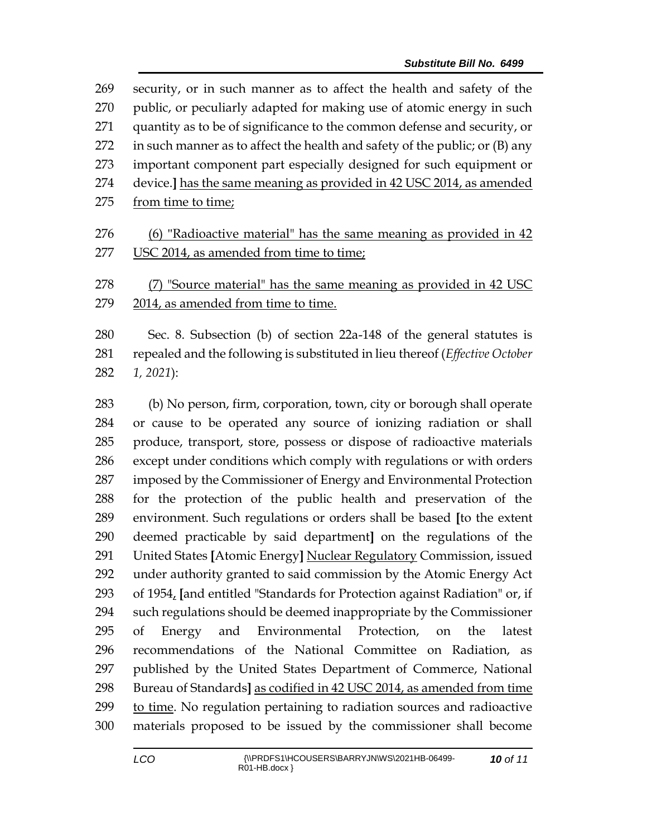security, or in such manner as to affect the health and safety of the public, or peculiarly adapted for making use of atomic energy in such quantity as to be of significance to the common defense and security, or in such manner as to affect the health and safety of the public; or (B) any important component part especially designed for such equipment or device.**]** has the same meaning as provided in 42 USC 2014, as amended 275 from time to time; (6) "Radioactive material" has the same meaning as provided in 42 USC 2014, as amended from time to time;

 (7) "Source material" has the same meaning as provided in 42 USC 2014, as amended from time to time.

 Sec. 8. Subsection (b) of section 22a-148 of the general statutes is repealed and the following is substituted in lieu thereof (*Effective October 1, 2021*):

 (b) No person, firm, corporation, town, city or borough shall operate or cause to be operated any source of ionizing radiation or shall produce, transport, store, possess or dispose of radioactive materials except under conditions which comply with regulations or with orders imposed by the Commissioner of Energy and Environmental Protection for the protection of the public health and preservation of the environment. Such regulations or orders shall be based **[**to the extent deemed practicable by said department**]** on the regulations of the United States **[**Atomic Energy**]** Nuclear Regulatory Commission, issued under authority granted to said commission by the Atomic Energy Act of 1954, **[**and entitled "Standards for Protection against Radiation" or, if such regulations should be deemed inappropriate by the Commissioner of Energy and Environmental Protection, on the latest recommendations of the National Committee on Radiation, as published by the United States Department of Commerce, National Bureau of Standards**]** as codified in 42 USC 2014, as amended from time 299 to time. No regulation pertaining to radiation sources and radioactive materials proposed to be issued by the commissioner shall become